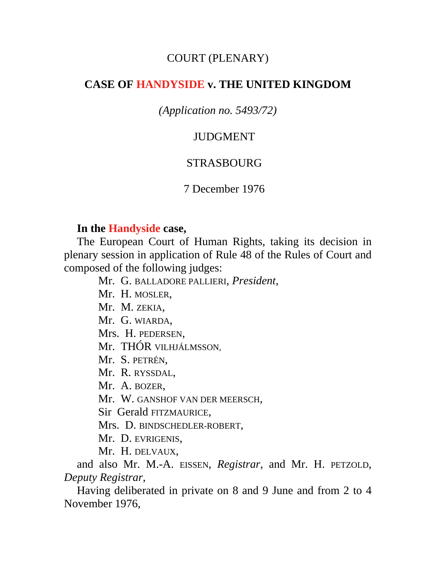## COURT (PLENARY)

### **CASE OF HANDYSIDE v. THE UNITED KINGDOM**

*(Application no. 5493/72)*

### JUDGMENT

#### STRASBOURG

#### 7 December 1976

#### **In the Handyside case,**

The European Court of Human Rights, taking its decision in plenary session in application of Rule 48 of the Rules of Court and composed of the following judges:

Mr. G. BALLADORE PALLIERI, *President*,

- Mr. H. MOSLER,
- Mr. M. ZEKIA,
- Mr. G. WIARDA,

Mrs. H. PEDERSEN,

Mr. THÓR VILHJÁLMSSON,

- Mr. S. PETRÉN,
- Mr. R. RYSSDAL,
- Mr. A. BOZER,

Mr. W. GANSHOF VAN DER MEERSCH,

Sir Gerald FITZMAURICE,

Mrs. D. BINDSCHEDLER-ROBERT,

Mr. D. EVRIGENIS,

Mr. H. DELVAUX,

and also Mr. M.-A. EISSEN, *Registrar*, and Mr. H. PETZOLD, *Deputy Registrar*,

Having deliberated in private on 8 and 9 June and from 2 to 4 November 1976,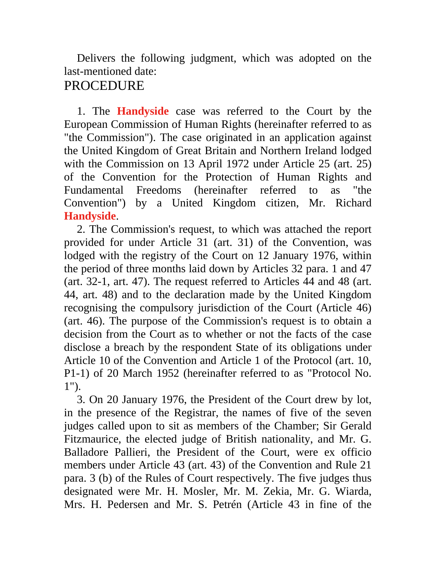Delivers the following judgment, which was adopted on the last-mentioned date:

# PROCEDURE

1. The **Handyside** case was referred to the Court by the European Commission of Human Rights (hereinafter referred to as "the Commission"). The case originated in an application against the United Kingdom of Great Britain and Northern Ireland lodged with the Commission on 13 April 1972 under Article 25 (art. 25) of the Convention for the Protection of Human Rights and Fundamental Freedoms (hereinafter referred to as "the Convention") by a United Kingdom citizen, Mr. Richard **Handyside**.

2. The Commission's request, to which was attached the report provided for under Article 31 (art. 31) of the Convention, was lodged with the registry of the Court on 12 January 1976, within the period of three months laid down by Articles 32 para. 1 and 47 (art. 32-1, art. 47). The request referred to Articles 44 and 48 (art. 44, art. 48) and to the declaration made by the United Kingdom recognising the compulsory jurisdiction of the Court (Article 46) (art. 46). The purpose of the Commission's request is to obtain a decision from the Court as to whether or not the facts of the case disclose a breach by the respondent State of its obligations under Article 10 of the Convention and Article 1 of the Protocol (art. 10, P1-1) of 20 March 1952 (hereinafter referred to as "Protocol No. 1").

3. On 20 January 1976, the President of the Court drew by lot, in the presence of the Registrar, the names of five of the seven judges called upon to sit as members of the Chamber; Sir Gerald Fitzmaurice, the elected judge of British nationality, and Mr. G. Balladore Pallieri, the President of the Court, were ex officio members under Article 43 (art. 43) of the Convention and Rule 21 para. 3 (b) of the Rules of Court respectively. The five judges thus designated were Mr. H. Mosler, Mr. M. Zekia, Mr. G. Wiarda, Mrs. H. Pedersen and Mr. S. Petrén (Article 43 in fine of the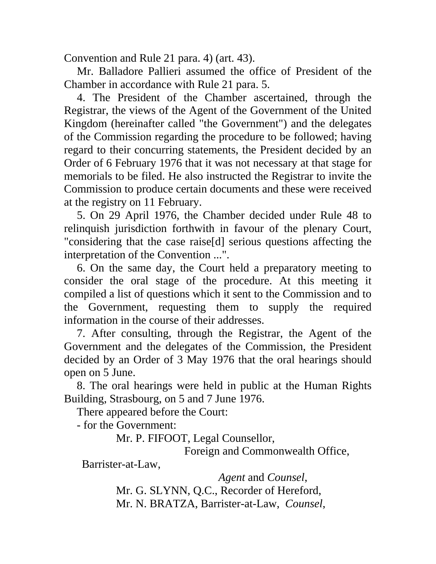Convention and Rule 21 para. 4) (art. 43).

Mr. Balladore Pallieri assumed the office of President of the Chamber in accordance with Rule 21 para. 5.

4. The President of the Chamber ascertained, through the Registrar, the views of the Agent of the Government of the United Kingdom (hereinafter called "the Government") and the delegates of the Commission regarding the procedure to be followed; having regard to their concurring statements, the President decided by an Order of 6 February 1976 that it was not necessary at that stage for memorials to be filed. He also instructed the Registrar to invite the Commission to produce certain documents and these were received at the registry on 11 February.

5. On 29 April 1976, the Chamber decided under Rule 48 to relinquish jurisdiction forthwith in favour of the plenary Court, "considering that the case raise[d] serious questions affecting the interpretation of the Convention ...".

6. On the same day, the Court held a preparatory meeting to consider the oral stage of the procedure. At this meeting it compiled a list of questions which it sent to the Commission and to the Government, requesting them to supply the required information in the course of their addresses.

7. After consulting, through the Registrar, the Agent of the Government and the delegates of the Commission, the President decided by an Order of 3 May 1976 that the oral hearings should open on 5 June.

8. The oral hearings were held in public at the Human Rights Building, Strasbourg, on 5 and 7 June 1976.

There appeared before the Court:

- for the Government:

Mr. P. FIFOOT, Legal Counsellor,

Foreign and Commonwealth Office,

Barrister-at-Law,

*Agent* and *Counsel*, Mr. G. SLYNN, Q.C., Recorder of Hereford, Mr. N. BRATZA, Barrister-at-Law, *Counsel*,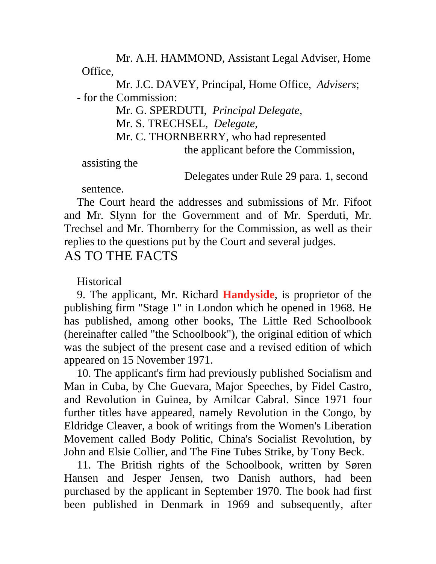Mr. A.H. HAMMOND, Assistant Legal Adviser, Home Office,

Mr. J.C. DAVEY, Principal, Home Office, *Advisers*; - for the Commission:

> Mr. G. SPERDUTI, *Principal Delegate*, Mr. S. TRECHSEL, *Delegate*, Mr. C. THORNBERRY, who had represented the applicant before the Commission,

assisting the

Delegates under Rule 29 para. 1, second

sentence.

The Court heard the addresses and submissions of Mr. Fifoot and Mr. Slynn for the Government and of Mr. Sperduti, Mr. Trechsel and Mr. Thornberry for the Commission, as well as their replies to the questions put by the Court and several judges.

AS TO THE FACTS

**Historical** 

9. The applicant, Mr. Richard **Handyside**, is proprietor of the publishing firm "Stage 1" in London which he opened in 1968. He has published, among other books, The Little Red Schoolbook (hereinafter called "the Schoolbook"), the original edition of which was the subject of the present case and a revised edition of which appeared on 15 November 1971.

10. The applicant's firm had previously published Socialism and Man in Cuba, by Che Guevara, Major Speeches, by Fidel Castro, and Revolution in Guinea, by Amilcar Cabral. Since 1971 four further titles have appeared, namely Revolution in the Congo, by Eldridge Cleaver, a book of writings from the Women's Liberation Movement called Body Politic, China's Socialist Revolution, by John and Elsie Collier, and The Fine Tubes Strike, by Tony Beck.

11. The British rights of the Schoolbook, written by Søren Hansen and Jesper Jensen, two Danish authors, had been purchased by the applicant in September 1970. The book had first been published in Denmark in 1969 and subsequently, after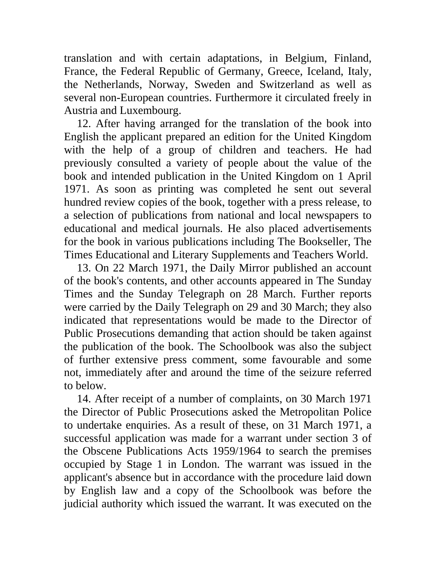translation and with certain adaptations, in Belgium, Finland, France, the Federal Republic of Germany, Greece, Iceland, Italy, the Netherlands, Norway, Sweden and Switzerland as well as several non-European countries. Furthermore it circulated freely in Austria and Luxembourg.

12. After having arranged for the translation of the book into English the applicant prepared an edition for the United Kingdom with the help of a group of children and teachers. He had previously consulted a variety of people about the value of the book and intended publication in the United Kingdom on 1 April 1971. As soon as printing was completed he sent out several hundred review copies of the book, together with a press release, to a selection of publications from national and local newspapers to educational and medical journals. He also placed advertisements for the book in various publications including The Bookseller, The Times Educational and Literary Supplements and Teachers World.

13. On 22 March 1971, the Daily Mirror published an account of the book's contents, and other accounts appeared in The Sunday Times and the Sunday Telegraph on 28 March. Further reports were carried by the Daily Telegraph on 29 and 30 March; they also indicated that representations would be made to the Director of Public Prosecutions demanding that action should be taken against the publication of the book. The Schoolbook was also the subject of further extensive press comment, some favourable and some not, immediately after and around the time of the seizure referred to below.

14. After receipt of a number of complaints, on 30 March 1971 the Director of Public Prosecutions asked the Metropolitan Police to undertake enquiries. As a result of these, on 31 March 1971, a successful application was made for a warrant under section 3 of the Obscene Publications Acts 1959/1964 to search the premises occupied by Stage 1 in London. The warrant was issued in the applicant's absence but in accordance with the procedure laid down by English law and a copy of the Schoolbook was before the judicial authority which issued the warrant. It was executed on the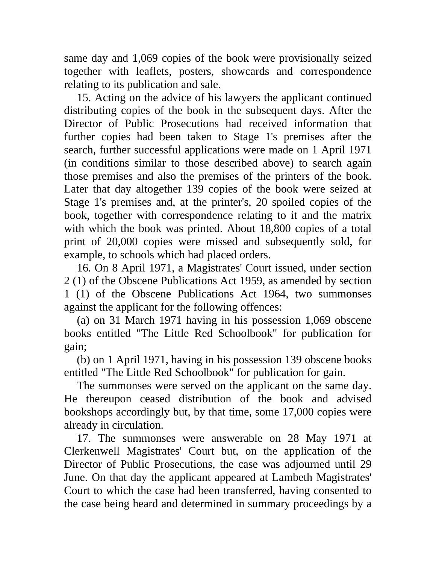same day and 1,069 copies of the book were provisionally seized together with leaflets, posters, showcards and correspondence relating to its publication and sale.

15. Acting on the advice of his lawyers the applicant continued distributing copies of the book in the subsequent days. After the Director of Public Prosecutions had received information that further copies had been taken to Stage 1's premises after the search, further successful applications were made on 1 April 1971 (in conditions similar to those described above) to search again those premises and also the premises of the printers of the book. Later that day altogether 139 copies of the book were seized at Stage 1's premises and, at the printer's, 20 spoiled copies of the book, together with correspondence relating to it and the matrix with which the book was printed. About 18,800 copies of a total print of 20,000 copies were missed and subsequently sold, for example, to schools which had placed orders.

16. On 8 April 1971, a Magistrates' Court issued, under section 2 (1) of the Obscene Publications Act 1959, as amended by section 1 (1) of the Obscene Publications Act 1964, two summonses against the applicant for the following offences:

(a) on 31 March 1971 having in his possession 1,069 obscene books entitled "The Little Red Schoolbook" for publication for gain;

(b) on 1 April 1971, having in his possession 139 obscene books entitled "The Little Red Schoolbook" for publication for gain.

The summonses were served on the applicant on the same day. He thereupon ceased distribution of the book and advised bookshops accordingly but, by that time, some 17,000 copies were already in circulation.

17. The summonses were answerable on 28 May 1971 at Clerkenwell Magistrates' Court but, on the application of the Director of Public Prosecutions, the case was adjourned until 29 June. On that day the applicant appeared at Lambeth Magistrates' Court to which the case had been transferred, having consented to the case being heard and determined in summary proceedings by a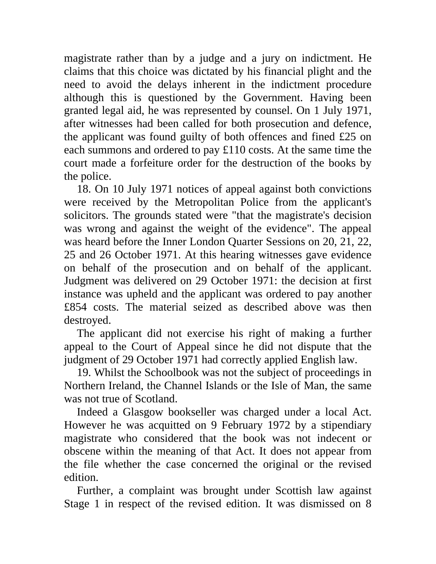magistrate rather than by a judge and a jury on indictment. He claims that this choice was dictated by his financial plight and the need to avoid the delays inherent in the indictment procedure although this is questioned by the Government. Having been granted legal aid, he was represented by counsel. On 1 July 1971, after witnesses had been called for both prosecution and defence, the applicant was found guilty of both offences and fined £25 on each summons and ordered to pay £110 costs. At the same time the court made a forfeiture order for the destruction of the books by the police.

18. On 10 July 1971 notices of appeal against both convictions were received by the Metropolitan Police from the applicant's solicitors. The grounds stated were "that the magistrate's decision was wrong and against the weight of the evidence". The appeal was heard before the Inner London Quarter Sessions on 20, 21, 22, 25 and 26 October 1971. At this hearing witnesses gave evidence on behalf of the prosecution and on behalf of the applicant. Judgment was delivered on 29 October 1971: the decision at first instance was upheld and the applicant was ordered to pay another £854 costs. The material seized as described above was then destroyed.

The applicant did not exercise his right of making a further appeal to the Court of Appeal since he did not dispute that the judgment of 29 October 1971 had correctly applied English law.

19. Whilst the Schoolbook was not the subject of proceedings in Northern Ireland, the Channel Islands or the Isle of Man, the same was not true of Scotland.

Indeed a Glasgow bookseller was charged under a local Act. However he was acquitted on 9 February 1972 by a stipendiary magistrate who considered that the book was not indecent or obscene within the meaning of that Act. It does not appear from the file whether the case concerned the original or the revised edition.

Further, a complaint was brought under Scottish law against Stage 1 in respect of the revised edition. It was dismissed on 8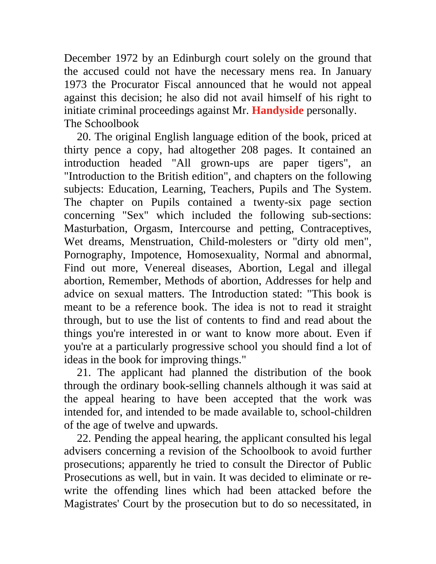December 1972 by an Edinburgh court solely on the ground that the accused could not have the necessary mens rea. In January 1973 the Procurator Fiscal announced that he would not appeal against this decision; he also did not avail himself of his right to initiate criminal proceedings against Mr. **Handyside** personally. The Schoolbook

20. The original English language edition of the book, priced at thirty pence a copy, had altogether 208 pages. It contained an introduction headed "All grown-ups are paper tigers", an "Introduction to the British edition", and chapters on the following subjects: Education, Learning, Teachers, Pupils and The System. The chapter on Pupils contained a twenty-six page section concerning "Sex" which included the following sub-sections: Masturbation, Orgasm, Intercourse and petting, Contraceptives, Wet dreams, Menstruation, Child-molesters or "dirty old men", Pornography, Impotence, Homosexuality, Normal and abnormal, Find out more, Venereal diseases, Abortion, Legal and illegal abortion, Remember, Methods of abortion, Addresses for help and advice on sexual matters. The Introduction stated: "This book is meant to be a reference book. The idea is not to read it straight through, but to use the list of contents to find and read about the things you're interested in or want to know more about. Even if you're at a particularly progressive school you should find a lot of ideas in the book for improving things."

21. The applicant had planned the distribution of the book through the ordinary book-selling channels although it was said at the appeal hearing to have been accepted that the work was intended for, and intended to be made available to, school-children of the age of twelve and upwards.

22. Pending the appeal hearing, the applicant consulted his legal advisers concerning a revision of the Schoolbook to avoid further prosecutions; apparently he tried to consult the Director of Public Prosecutions as well, but in vain. It was decided to eliminate or rewrite the offending lines which had been attacked before the Magistrates' Court by the prosecution but to do so necessitated, in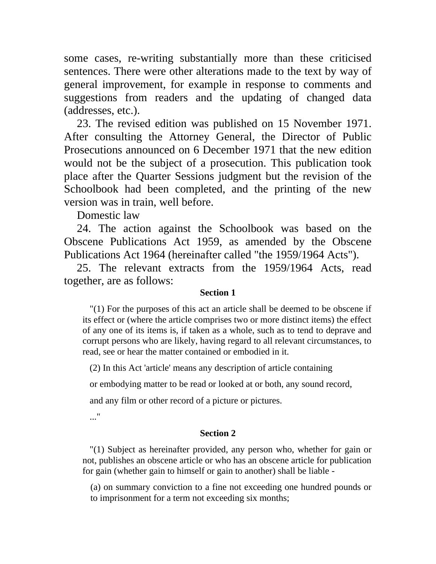some cases, re-writing substantially more than these criticised sentences. There were other alterations made to the text by way of general improvement, for example in response to comments and suggestions from readers and the updating of changed data (addresses, etc.).

23. The revised edition was published on 15 November 1971. After consulting the Attorney General, the Director of Public Prosecutions announced on 6 December 1971 that the new edition would not be the subject of a prosecution. This publication took place after the Quarter Sessions judgment but the revision of the Schoolbook had been completed, and the printing of the new version was in train, well before.

Domestic law

24. The action against the Schoolbook was based on the Obscene Publications Act 1959, as amended by the Obscene Publications Act 1964 (hereinafter called "the 1959/1964 Acts").

25. The relevant extracts from the 1959/1964 Acts, read together, are as follows:

#### **Section 1**

"(1) For the purposes of this act an article shall be deemed to be obscene if its effect or (where the article comprises two or more distinct items) the effect of any one of its items is, if taken as a whole, such as to tend to deprave and corrupt persons who are likely, having regard to all relevant circumstances, to read, see or hear the matter contained or embodied in it.

(2) In this Act 'article' means any description of article containing

or embodying matter to be read or looked at or both, any sound record,

and any film or other record of a picture or pictures.

..."

#### **Section 2**

"(1) Subject as hereinafter provided, any person who, whether for gain or not, publishes an obscene article or who has an obscene article for publication for gain (whether gain to himself or gain to another) shall be liable -

(a) on summary conviction to a fine not exceeding one hundred pounds or to imprisonment for a term not exceeding six months;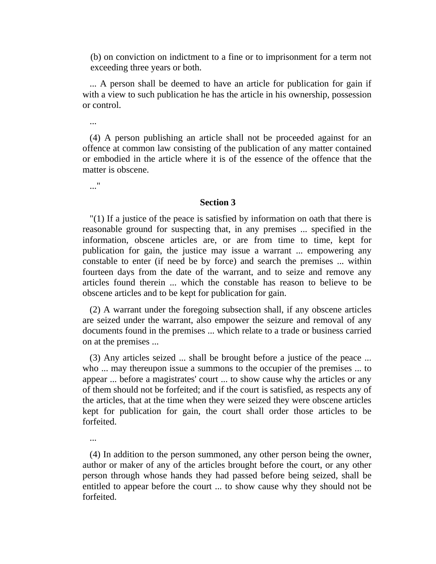(b) on conviction on indictment to a fine or to imprisonment for a term not exceeding three years or both.

... A person shall be deemed to have an article for publication for gain if with a view to such publication he has the article in his ownership, possession or control.

...

(4) A person publishing an article shall not be proceeded against for an offence at common law consisting of the publication of any matter contained or embodied in the article where it is of the essence of the offence that the matter is obscene.

..."

...

#### **Section 3**

"(1) If a justice of the peace is satisfied by information on oath that there is reasonable ground for suspecting that, in any premises ... specified in the information, obscene articles are, or are from time to time, kept for publication for gain, the justice may issue a warrant ... empowering any constable to enter (if need be by force) and search the premises ... within fourteen days from the date of the warrant, and to seize and remove any articles found therein ... which the constable has reason to believe to be obscene articles and to be kept for publication for gain.

(2) A warrant under the foregoing subsection shall, if any obscene articles are seized under the warrant, also empower the seizure and removal of any documents found in the premises ... which relate to a trade or business carried on at the premises ...

(3) Any articles seized ... shall be brought before a justice of the peace ... who ... may thereupon issue a summons to the occupier of the premises ... to appear ... before a magistrates' court ... to show cause why the articles or any of them should not be forfeited; and if the court is satisfied, as respects any of the articles, that at the time when they were seized they were obscene articles kept for publication for gain, the court shall order those articles to be forfeited.

(4) In addition to the person summoned, any other person being the owner, author or maker of any of the articles brought before the court, or any other person through whose hands they had passed before being seized, shall be entitled to appear before the court ... to show cause why they should not be forfeited.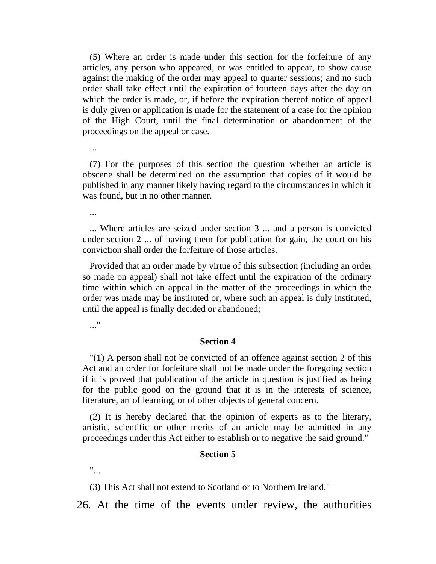(5) Where an order is made under this section for the forfeiture of any articles, any person who appeared, or was entitled to appear, to show cause against the making of the order may appeal to quarter sessions; and no such order shall take effect until the expiration of fourteen days after the day on which the order is made, or, if before the expiration thereof notice of appeal is duly given or application is made for the statement of a case for the opinion of the High Court, until the final determination or abandonment of the proceedings on the appeal or case.

...

(7) For the purposes of this section the question whether an article is obscene shall be determined on the assumption that copies of it would be published in any manner likely having regard to the circumstances in which it was found, but in no other manner.

...

... Where articles are seized under section 3 ... and a person is convicted under section 2 ... of having them for publication for gain, the court on his conviction shall order the forfeiture of those articles.

Provided that an order made by virtue of this subsection (including an order so made on appeal) shall not take effect until the expiration of the ordinary time within which an appeal in the matter of the proceedings in which the order was made may be instituted or, where such an appeal is duly instituted, until the appeal is finally decided or abandoned;

..."

#### **Section 4**

"(1) A person shall not be convicted of an offence against section 2 of this Act and an order for forfeiture shall not be made under the foregoing section if it is proved that publication of the article in question is justified as being for the public good on the ground that it is in the interests of science, literature, art of learning, or of other objects of general concern.

(2) It is hereby declared that the opinion of experts as to the literary, artistic, scientific or other merits of an article may be admitted in any proceedings under this Act either to establish or to negative the said ground."

#### **Section 5**

"...

(3) This Act shall not extend to Scotland or to Northern Ireland."

26. At the time of the events under review, the authorities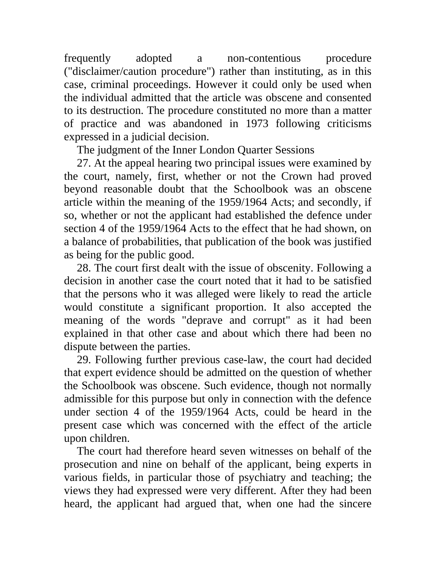frequently adopted a non-contentious procedure ("disclaimer/caution procedure") rather than instituting, as in this case, criminal proceedings. However it could only be used when the individual admitted that the article was obscene and consented to its destruction. The procedure constituted no more than a matter of practice and was abandoned in 1973 following criticisms expressed in a judicial decision.

The judgment of the Inner London Quarter Sessions

27. At the appeal hearing two principal issues were examined by the court, namely, first, whether or not the Crown had proved beyond reasonable doubt that the Schoolbook was an obscene article within the meaning of the 1959/1964 Acts; and secondly, if so, whether or not the applicant had established the defence under section 4 of the 1959/1964 Acts to the effect that he had shown, on a balance of probabilities, that publication of the book was justified as being for the public good.

28. The court first dealt with the issue of obscenity. Following a decision in another case the court noted that it had to be satisfied that the persons who it was alleged were likely to read the article would constitute a significant proportion. It also accepted the meaning of the words "deprave and corrupt" as it had been explained in that other case and about which there had been no dispute between the parties.

29. Following further previous case-law, the court had decided that expert evidence should be admitted on the question of whether the Schoolbook was obscene. Such evidence, though not normally admissible for this purpose but only in connection with the defence under section 4 of the 1959/1964 Acts, could be heard in the present case which was concerned with the effect of the article upon children.

The court had therefore heard seven witnesses on behalf of the prosecution and nine on behalf of the applicant, being experts in various fields, in particular those of psychiatry and teaching; the views they had expressed were very different. After they had been heard, the applicant had argued that, when one had the sincere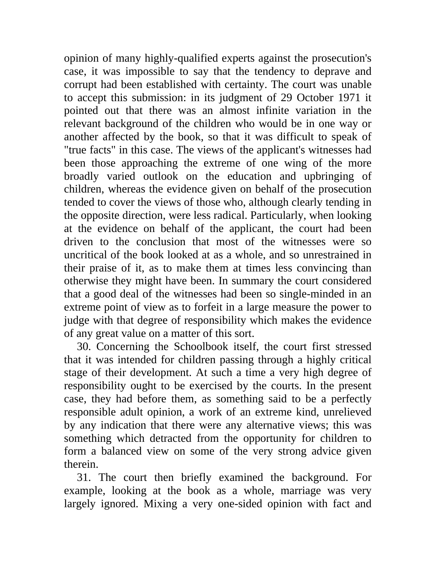opinion of many highly-qualified experts against the prosecution's case, it was impossible to say that the tendency to deprave and corrupt had been established with certainty. The court was unable to accept this submission: in its judgment of 29 October 1971 it pointed out that there was an almost infinite variation in the relevant background of the children who would be in one way or another affected by the book, so that it was difficult to speak of "true facts" in this case. The views of the applicant's witnesses had been those approaching the extreme of one wing of the more broadly varied outlook on the education and upbringing of children, whereas the evidence given on behalf of the prosecution tended to cover the views of those who, although clearly tending in the opposite direction, were less radical. Particularly, when looking at the evidence on behalf of the applicant, the court had been driven to the conclusion that most of the witnesses were so uncritical of the book looked at as a whole, and so unrestrained in their praise of it, as to make them at times less convincing than otherwise they might have been. In summary the court considered that a good deal of the witnesses had been so single-minded in an extreme point of view as to forfeit in a large measure the power to judge with that degree of responsibility which makes the evidence of any great value on a matter of this sort.

30. Concerning the Schoolbook itself, the court first stressed that it was intended for children passing through a highly critical stage of their development. At such a time a very high degree of responsibility ought to be exercised by the courts. In the present case, they had before them, as something said to be a perfectly responsible adult opinion, a work of an extreme kind, unrelieved by any indication that there were any alternative views; this was something which detracted from the opportunity for children to form a balanced view on some of the very strong advice given therein.

31. The court then briefly examined the background. For example, looking at the book as a whole, marriage was very largely ignored. Mixing a very one-sided opinion with fact and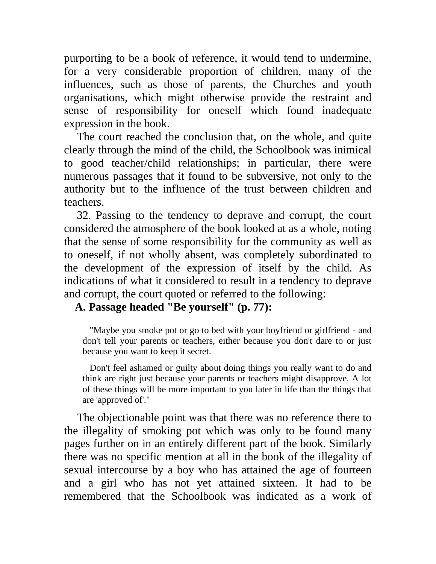purporting to be a book of reference, it would tend to undermine, for a very considerable proportion of children, many of the influences, such as those of parents, the Churches and youth organisations, which might otherwise provide the restraint and sense of responsibility for oneself which found inadequate expression in the book.

The court reached the conclusion that, on the whole, and quite clearly through the mind of the child, the Schoolbook was inimical to good teacher/child relationships; in particular, there were numerous passages that it found to be subversive, not only to the authority but to the influence of the trust between children and teachers.

32. Passing to the tendency to deprave and corrupt, the court considered the atmosphere of the book looked at as a whole, noting that the sense of some responsibility for the community as well as to oneself, if not wholly absent, was completely subordinated to the development of the expression of itself by the child. As indications of what it considered to result in a tendency to deprave and corrupt, the court quoted or referred to the following:

## **A. Passage headed "Be yourself" (p. 77):**

"Maybe you smoke pot or go to bed with your boyfriend or girlfriend - and don't tell your parents or teachers, either because you don't dare to or just because you want to keep it secret.

Don't feel ashamed or guilty about doing things you really want to do and think are right just because your parents or teachers might disapprove. A lot of these things will be more important to you later in life than the things that are 'approved of'."

The objectionable point was that there was no reference there to the illegality of smoking pot which was only to be found many pages further on in an entirely different part of the book. Similarly there was no specific mention at all in the book of the illegality of sexual intercourse by a boy who has attained the age of fourteen and a girl who has not yet attained sixteen. It had to be remembered that the Schoolbook was indicated as a work of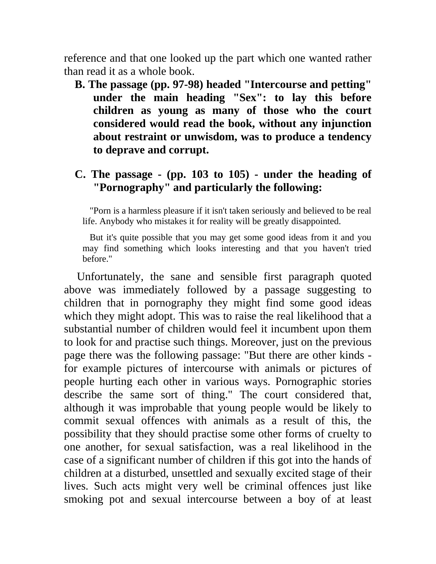reference and that one looked up the part which one wanted rather than read it as a whole book.

**B. The passage (pp. 97-98) headed "Intercourse and petting" under the main heading "Sex": to lay this before children as young as many of those who the court considered would read the book, without any injunction about restraint or unwisdom, was to produce a tendency to deprave and corrupt.**

## **C. The passage - (pp. 103 to 105) - under the heading of "Pornography" and particularly the following:**

"Porn is a harmless pleasure if it isn't taken seriously and believed to be real life. Anybody who mistakes it for reality will be greatly disappointed.

But it's quite possible that you may get some good ideas from it and you may find something which looks interesting and that you haven't tried before."

Unfortunately, the sane and sensible first paragraph quoted above was immediately followed by a passage suggesting to children that in pornography they might find some good ideas which they might adopt. This was to raise the real likelihood that a substantial number of children would feel it incumbent upon them to look for and practise such things. Moreover, just on the previous page there was the following passage: "But there are other kinds for example pictures of intercourse with animals or pictures of people hurting each other in various ways. Pornographic stories describe the same sort of thing." The court considered that, although it was improbable that young people would be likely to commit sexual offences with animals as a result of this, the possibility that they should practise some other forms of cruelty to one another, for sexual satisfaction, was a real likelihood in the case of a significant number of children if this got into the hands of children at a disturbed, unsettled and sexually excited stage of their lives. Such acts might very well be criminal offences just like smoking pot and sexual intercourse between a boy of at least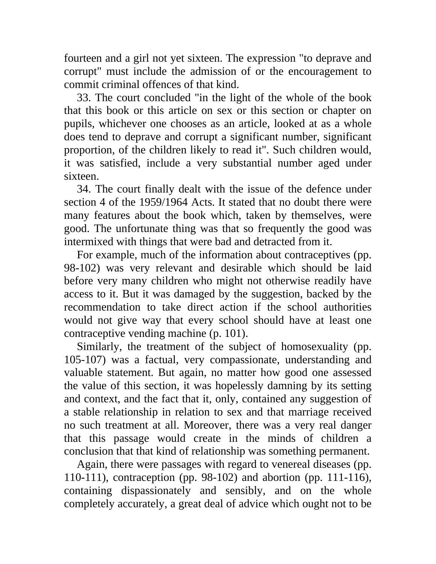fourteen and a girl not yet sixteen. The expression "to deprave and corrupt" must include the admission of or the encouragement to commit criminal offences of that kind.

33. The court concluded "in the light of the whole of the book that this book or this article on sex or this section or chapter on pupils, whichever one chooses as an article, looked at as a whole does tend to deprave and corrupt a significant number, significant proportion, of the children likely to read it". Such children would, it was satisfied, include a very substantial number aged under sixteen.

34. The court finally dealt with the issue of the defence under section 4 of the 1959/1964 Acts. It stated that no doubt there were many features about the book which, taken by themselves, were good. The unfortunate thing was that so frequently the good was intermixed with things that were bad and detracted from it.

For example, much of the information about contraceptives (pp. 98-102) was very relevant and desirable which should be laid before very many children who might not otherwise readily have access to it. But it was damaged by the suggestion, backed by the recommendation to take direct action if the school authorities would not give way that every school should have at least one contraceptive vending machine (p. 101).

Similarly, the treatment of the subject of homosexuality (pp. 105-107) was a factual, very compassionate, understanding and valuable statement. But again, no matter how good one assessed the value of this section, it was hopelessly damning by its setting and context, and the fact that it, only, contained any suggestion of a stable relationship in relation to sex and that marriage received no such treatment at all. Moreover, there was a very real danger that this passage would create in the minds of children a conclusion that that kind of relationship was something permanent.

Again, there were passages with regard to venereal diseases (pp. 110-111), contraception (pp. 98-102) and abortion (pp. 111-116), containing dispassionately and sensibly, and on the whole completely accurately, a great deal of advice which ought not to be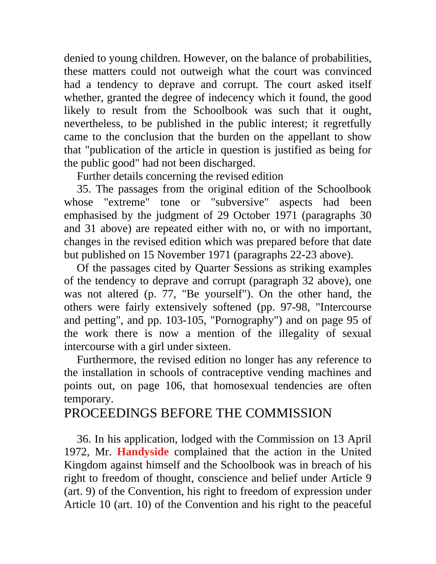denied to young children. However, on the balance of probabilities, these matters could not outweigh what the court was convinced had a tendency to deprave and corrupt. The court asked itself whether, granted the degree of indecency which it found, the good likely to result from the Schoolbook was such that it ought, nevertheless, to be published in the public interest; it regretfully came to the conclusion that the burden on the appellant to show that "publication of the article in question is justified as being for the public good" had not been discharged.

Further details concerning the revised edition

35. The passages from the original edition of the Schoolbook whose "extreme" tone or "subversive" aspects had been emphasised by the judgment of 29 October 1971 (paragraphs 30 and 31 above) are repeated either with no, or with no important, changes in the revised edition which was prepared before that date but published on 15 November 1971 (paragraphs 22-23 above).

Of the passages cited by Quarter Sessions as striking examples of the tendency to deprave and corrupt (paragraph 32 above), one was not altered (p. 77, "Be yourself"). On the other hand, the others were fairly extensively softened (pp. 97-98, "Intercourse and petting", and pp. 103-105, "Pornography") and on page 95 of the work there is now a mention of the illegality of sexual intercourse with a girl under sixteen.

Furthermore, the revised edition no longer has any reference to the installation in schools of contraceptive vending machines and points out, on page 106, that homosexual tendencies are often temporary.

# PROCEEDINGS BEFORE THE COMMISSION

36. In his application, lodged with the Commission on 13 April 1972, Mr. **Handyside** complained that the action in the United Kingdom against himself and the Schoolbook was in breach of his right to freedom of thought, conscience and belief under Article 9 (art. 9) of the Convention, his right to freedom of expression under Article 10 (art. 10) of the Convention and his right to the peaceful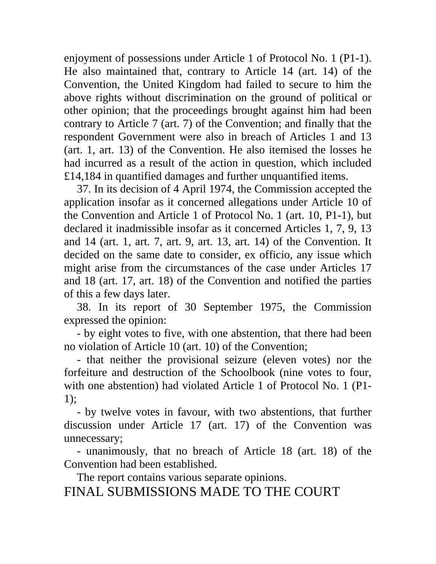enjoyment of possessions under Article 1 of Protocol No. 1 (P1-1). He also maintained that, contrary to Article 14 (art. 14) of the Convention, the United Kingdom had failed to secure to him the above rights without discrimination on the ground of political or other opinion; that the proceedings brought against him had been contrary to Article 7 (art. 7) of the Convention; and finally that the respondent Government were also in breach of Articles 1 and 13 (art. 1, art. 13) of the Convention. He also itemised the losses he had incurred as a result of the action in question, which included £14,184 in quantified damages and further unquantified items.

37. In its decision of 4 April 1974, the Commission accepted the application insofar as it concerned allegations under Article 10 of the Convention and Article 1 of Protocol No. 1 (art. 10, P1-1), but declared it inadmissible insofar as it concerned Articles 1, 7, 9, 13 and 14 (art. 1, art. 7, art. 9, art. 13, art. 14) of the Convention. It decided on the same date to consider, ex officio, any issue which might arise from the circumstances of the case under Articles 17 and 18 (art. 17, art. 18) of the Convention and notified the parties of this a few days later.

38. In its report of 30 September 1975, the Commission expressed the opinion:

- by eight votes to five, with one abstention, that there had been no violation of Article 10 (art. 10) of the Convention;

- that neither the provisional seizure (eleven votes) nor the forfeiture and destruction of the Schoolbook (nine votes to four, with one abstention) had violated Article 1 of Protocol No. 1 (P1- 1);

- by twelve votes in favour, with two abstentions, that further discussion under Article 17 (art. 17) of the Convention was unnecessary;

- unanimously, that no breach of Article 18 (art. 18) of the Convention had been established.

The report contains various separate opinions. FINAL SUBMISSIONS MADE TO THE COURT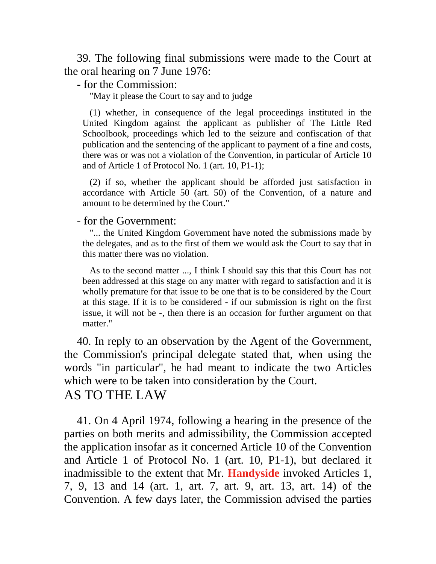39. The following final submissions were made to the Court at the oral hearing on 7 June 1976:

- for the Commission:

"May it please the Court to say and to judge

(1) whether, in consequence of the legal proceedings instituted in the United Kingdom against the applicant as publisher of The Little Red Schoolbook, proceedings which led to the seizure and confiscation of that publication and the sentencing of the applicant to payment of a fine and costs, there was or was not a violation of the Convention, in particular of Article 10 and of Article 1 of Protocol No. 1 (art. 10, P1-1);

(2) if so, whether the applicant should be afforded just satisfaction in accordance with Article 50 (art. 50) of the Convention, of a nature and amount to be determined by the Court."

#### - for the Government:

"... the United Kingdom Government have noted the submissions made by the delegates, and as to the first of them we would ask the Court to say that in this matter there was no violation.

As to the second matter ..., I think I should say this that this Court has not been addressed at this stage on any matter with regard to satisfaction and it is wholly premature for that issue to be one that is to be considered by the Court at this stage. If it is to be considered - if our submission is right on the first issue, it will not be -, then there is an occasion for further argument on that matter."

40. In reply to an observation by the Agent of the Government, the Commission's principal delegate stated that, when using the words "in particular", he had meant to indicate the two Articles which were to be taken into consideration by the Court.

## AS TO THE LAW

41. On 4 April 1974, following a hearing in the presence of the parties on both merits and admissibility, the Commission accepted the application insofar as it concerned Article 10 of the Convention and Article 1 of Protocol No. 1 (art. 10, P1-1), but declared it inadmissible to the extent that Mr. **Handyside** invoked Articles 1, 7, 9, 13 and 14 (art. 1, art. 7, art. 9, art. 13, art. 14) of the Convention. A few days later, the Commission advised the parties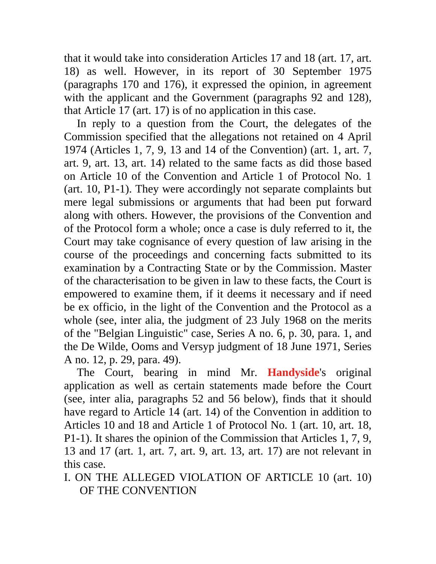that it would take into consideration Articles 17 and 18 (art. 17, art. 18) as well. However, in its report of 30 September 1975 (paragraphs 170 and 176), it expressed the opinion, in agreement with the applicant and the Government (paragraphs 92 and 128), that Article 17 (art. 17) is of no application in this case.

In reply to a question from the Court, the delegates of the Commission specified that the allegations not retained on 4 April 1974 (Articles 1, 7, 9, 13 and 14 of the Convention) (art. 1, art. 7, art. 9, art. 13, art. 14) related to the same facts as did those based on Article 10 of the Convention and Article 1 of Protocol No. 1 (art. 10, P1-1). They were accordingly not separate complaints but mere legal submissions or arguments that had been put forward along with others. However, the provisions of the Convention and of the Protocol form a whole; once a case is duly referred to it, the Court may take cognisance of every question of law arising in the course of the proceedings and concerning facts submitted to its examination by a Contracting State or by the Commission. Master of the characterisation to be given in law to these facts, the Court is empowered to examine them, if it deems it necessary and if need be ex officio, in the light of the Convention and the Protocol as a whole (see, inter alia, the judgment of 23 July 1968 on the merits of the "Belgian Linguistic" case, Series A no. 6, p. 30, para. 1, and the De Wilde, Ooms and Versyp judgment of 18 June 1971, Series A no. 12, p. 29, para. 49).

The Court, bearing in mind Mr. **Handyside**'s original application as well as certain statements made before the Court (see, inter alia, paragraphs 52 and 56 below), finds that it should have regard to Article 14 (art. 14) of the Convention in addition to Articles 10 and 18 and Article 1 of Protocol No. 1 (art. 10, art. 18, P1-1). It shares the opinion of the Commission that Articles 1, 7, 9, 13 and 17 (art. 1, art. 7, art. 9, art. 13, art. 17) are not relevant in this case.

I. ON THE ALLEGED VIOLATION OF ARTICLE 10 (art. 10) OF THE CONVENTION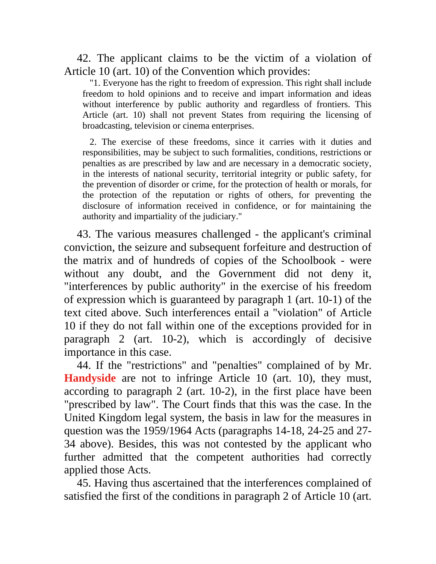42. The applicant claims to be the victim of a violation of Article 10 (art. 10) of the Convention which provides:

"1. Everyone has the right to freedom of expression. This right shall include freedom to hold opinions and to receive and impart information and ideas without interference by public authority and regardless of frontiers. This Article (art. 10) shall not prevent States from requiring the licensing of broadcasting, television or cinema enterprises.

2. The exercise of these freedoms, since it carries with it duties and responsibilities, may be subject to such formalities, conditions, restrictions or penalties as are prescribed by law and are necessary in a democratic society, in the interests of national security, territorial integrity or public safety, for the prevention of disorder or crime, for the protection of health or morals, for the protection of the reputation or rights of others, for preventing the disclosure of information received in confidence, or for maintaining the authority and impartiality of the judiciary."

43. The various measures challenged - the applicant's criminal conviction, the seizure and subsequent forfeiture and destruction of the matrix and of hundreds of copies of the Schoolbook - were without any doubt, and the Government did not deny it, "interferences by public authority" in the exercise of his freedom of expression which is guaranteed by paragraph 1 (art. 10-1) of the text cited above. Such interferences entail a "violation" of Article 10 if they do not fall within one of the exceptions provided for in paragraph 2 (art. 10-2), which is accordingly of decisive importance in this case.

44. If the "restrictions" and "penalties" complained of by Mr. **Handyside** are not to infringe Article 10 (art. 10), they must, according to paragraph 2 (art. 10-2), in the first place have been "prescribed by law". The Court finds that this was the case. In the United Kingdom legal system, the basis in law for the measures in question was the 1959/1964 Acts (paragraphs 14-18, 24-25 and 27- 34 above). Besides, this was not contested by the applicant who further admitted that the competent authorities had correctly applied those Acts.

45. Having thus ascertained that the interferences complained of satisfied the first of the conditions in paragraph 2 of Article 10 (art.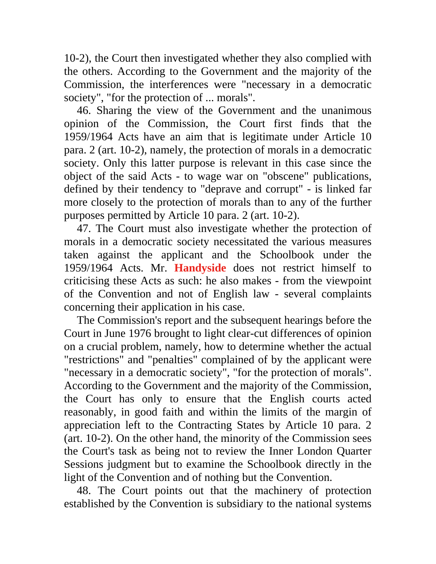10-2), the Court then investigated whether they also complied with the others. According to the Government and the majority of the Commission, the interferences were "necessary in a democratic society", "for the protection of ... morals".

46. Sharing the view of the Government and the unanimous opinion of the Commission, the Court first finds that the 1959/1964 Acts have an aim that is legitimate under Article 10 para. 2 (art. 10-2), namely, the protection of morals in a democratic society. Only this latter purpose is relevant in this case since the object of the said Acts - to wage war on "obscene" publications, defined by their tendency to "deprave and corrupt" - is linked far more closely to the protection of morals than to any of the further purposes permitted by Article 10 para. 2 (art. 10-2).

47. The Court must also investigate whether the protection of morals in a democratic society necessitated the various measures taken against the applicant and the Schoolbook under the 1959/1964 Acts. Mr. **Handyside** does not restrict himself to criticising these Acts as such: he also makes - from the viewpoint of the Convention and not of English law - several complaints concerning their application in his case.

The Commission's report and the subsequent hearings before the Court in June 1976 brought to light clear-cut differences of opinion on a crucial problem, namely, how to determine whether the actual "restrictions" and "penalties" complained of by the applicant were "necessary in a democratic society", "for the protection of morals". According to the Government and the majority of the Commission, the Court has only to ensure that the English courts acted reasonably, in good faith and within the limits of the margin of appreciation left to the Contracting States by Article 10 para. 2 (art. 10-2). On the other hand, the minority of the Commission sees the Court's task as being not to review the Inner London Quarter Sessions judgment but to examine the Schoolbook directly in the light of the Convention and of nothing but the Convention.

48. The Court points out that the machinery of protection established by the Convention is subsidiary to the national systems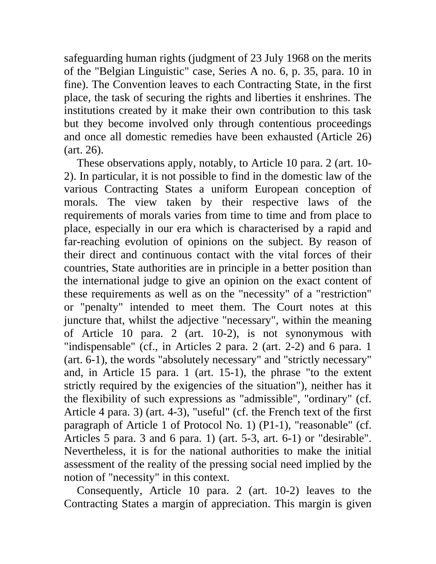safeguarding human rights (judgment of 23 July 1968 on the merits of the "Belgian Linguistic" case, Series A no. 6, p. 35, para. 10 in fine). The Convention leaves to each Contracting State, in the first place, the task of securing the rights and liberties it enshrines. The institutions created by it make their own contribution to this task but they become involved only through contentious proceedings and once all domestic remedies have been exhausted (Article 26) (art. 26).

These observations apply, notably, to Article 10 para. 2 (art. 10- 2). In particular, it is not possible to find in the domestic law of the various Contracting States a uniform European conception of morals. The view taken by their respective laws of the requirements of morals varies from time to time and from place to place, especially in our era which is characterised by a rapid and far-reaching evolution of opinions on the subject. By reason of their direct and continuous contact with the vital forces of their countries, State authorities are in principle in a better position than the international judge to give an opinion on the exact content of these requirements as well as on the "necessity" of a "restriction" or "penalty" intended to meet them. The Court notes at this juncture that, whilst the adjective "necessary", within the meaning of Article 10 para. 2 (art. 10-2), is not synonymous with "indispensable" (cf., in Articles 2 para. 2 (art. 2-2) and 6 para. 1 (art. 6-1), the words "absolutely necessary" and "strictly necessary" and, in Article 15 para. 1 (art. 15-1), the phrase "to the extent strictly required by the exigencies of the situation"), neither has it the flexibility of such expressions as "admissible", "ordinary" (cf. Article 4 para. 3) (art. 4-3), "useful" (cf. the French text of the first paragraph of Article 1 of Protocol No. 1) (P1-1), "reasonable" (cf. Articles 5 para. 3 and 6 para. 1) (art. 5-3, art. 6-1) or "desirable". Nevertheless, it is for the national authorities to make the initial assessment of the reality of the pressing social need implied by the notion of "necessity" in this context.

Consequently, Article 10 para. 2 (art. 10-2) leaves to the Contracting States a margin of appreciation. This margin is given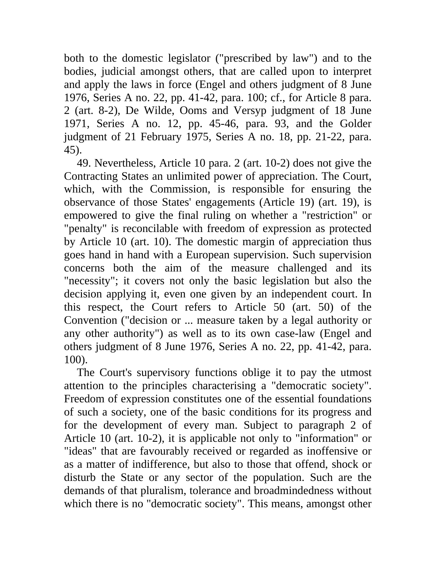both to the domestic legislator ("prescribed by law") and to the bodies, judicial amongst others, that are called upon to interpret and apply the laws in force (Engel and others judgment of 8 June 1976, Series A no. 22, pp. 41-42, para. 100; cf., for Article 8 para. 2 (art. 8-2), De Wilde, Ooms and Versyp judgment of 18 June 1971, Series A no. 12, pp. 45-46, para. 93, and the Golder judgment of 21 February 1975, Series A no. 18, pp. 21-22, para. 45).

49. Nevertheless, Article 10 para. 2 (art. 10-2) does not give the Contracting States an unlimited power of appreciation. The Court, which, with the Commission, is responsible for ensuring the observance of those States' engagements (Article 19) (art. 19), is empowered to give the final ruling on whether a "restriction" or "penalty" is reconcilable with freedom of expression as protected by Article 10 (art. 10). The domestic margin of appreciation thus goes hand in hand with a European supervision. Such supervision concerns both the aim of the measure challenged and its "necessity"; it covers not only the basic legislation but also the decision applying it, even one given by an independent court. In this respect, the Court refers to Article 50 (art. 50) of the Convention ("decision or ... measure taken by a legal authority or any other authority") as well as to its own case-law (Engel and others judgment of 8 June 1976, Series A no. 22, pp. 41-42, para. 100).

The Court's supervisory functions oblige it to pay the utmost attention to the principles characterising a "democratic society". Freedom of expression constitutes one of the essential foundations of such a society, one of the basic conditions for its progress and for the development of every man. Subject to paragraph 2 of Article 10 (art. 10-2), it is applicable not only to "information" or "ideas" that are favourably received or regarded as inoffensive or as a matter of indifference, but also to those that offend, shock or disturb the State or any sector of the population. Such are the demands of that pluralism, tolerance and broadmindedness without which there is no "democratic society". This means, amongst other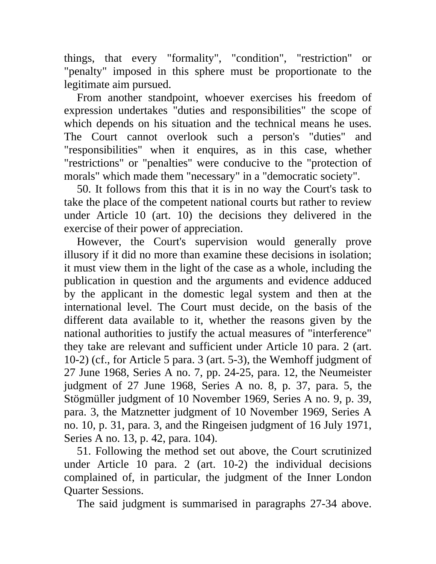things, that every "formality", "condition", "restriction" or "penalty" imposed in this sphere must be proportionate to the legitimate aim pursued.

From another standpoint, whoever exercises his freedom of expression undertakes "duties and responsibilities" the scope of which depends on his situation and the technical means he uses. The Court cannot overlook such a person's "duties" and "responsibilities" when it enquires, as in this case, whether "restrictions" or "penalties" were conducive to the "protection of morals" which made them "necessary" in a "democratic society".

50. It follows from this that it is in no way the Court's task to take the place of the competent national courts but rather to review under Article 10 (art. 10) the decisions they delivered in the exercise of their power of appreciation.

However, the Court's supervision would generally prove illusory if it did no more than examine these decisions in isolation; it must view them in the light of the case as a whole, including the publication in question and the arguments and evidence adduced by the applicant in the domestic legal system and then at the international level. The Court must decide, on the basis of the different data available to it, whether the reasons given by the national authorities to justify the actual measures of "interference" they take are relevant and sufficient under Article 10 para. 2 (art. 10-2) (cf., for Article 5 para. 3 (art. 5-3), the Wemhoff judgment of 27 June 1968, Series A no. 7, pp. 24-25, para. 12, the Neumeister judgment of 27 June 1968, Series A no. 8, p. 37, para. 5, the Stögmüller judgment of 10 November 1969, Series A no. 9, p. 39, para. 3, the Matznetter judgment of 10 November 1969, Series A no. 10, p. 31, para. 3, and the Ringeisen judgment of 16 July 1971, Series A no. 13, p. 42, para. 104).

51. Following the method set out above, the Court scrutinized under Article 10 para. 2 (art. 10-2) the individual decisions complained of, in particular, the judgment of the Inner London Quarter Sessions.

The said judgment is summarised in paragraphs 27-34 above.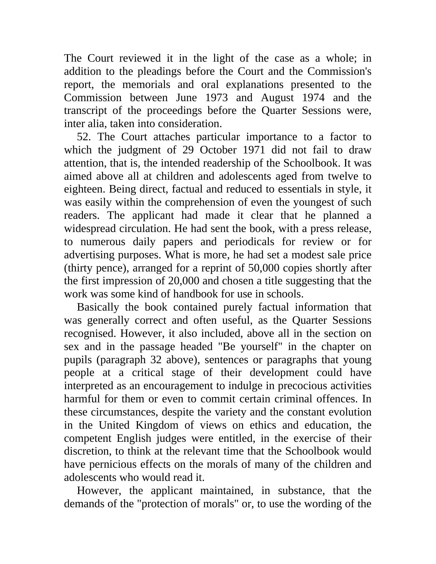The Court reviewed it in the light of the case as a whole; in addition to the pleadings before the Court and the Commission's report, the memorials and oral explanations presented to the Commission between June 1973 and August 1974 and the transcript of the proceedings before the Quarter Sessions were, inter alia, taken into consideration.

52. The Court attaches particular importance to a factor to which the judgment of 29 October 1971 did not fail to draw attention, that is, the intended readership of the Schoolbook. It was aimed above all at children and adolescents aged from twelve to eighteen. Being direct, factual and reduced to essentials in style, it was easily within the comprehension of even the youngest of such readers. The applicant had made it clear that he planned a widespread circulation. He had sent the book, with a press release, to numerous daily papers and periodicals for review or for advertising purposes. What is more, he had set a modest sale price (thirty pence), arranged for a reprint of 50,000 copies shortly after the first impression of 20,000 and chosen a title suggesting that the work was some kind of handbook for use in schools.

Basically the book contained purely factual information that was generally correct and often useful, as the Quarter Sessions recognised. However, it also included, above all in the section on sex and in the passage headed "Be yourself" in the chapter on pupils (paragraph 32 above), sentences or paragraphs that young people at a critical stage of their development could have interpreted as an encouragement to indulge in precocious activities harmful for them or even to commit certain criminal offences. In these circumstances, despite the variety and the constant evolution in the United Kingdom of views on ethics and education, the competent English judges were entitled, in the exercise of their discretion, to think at the relevant time that the Schoolbook would have pernicious effects on the morals of many of the children and adolescents who would read it.

However, the applicant maintained, in substance, that the demands of the "protection of morals" or, to use the wording of the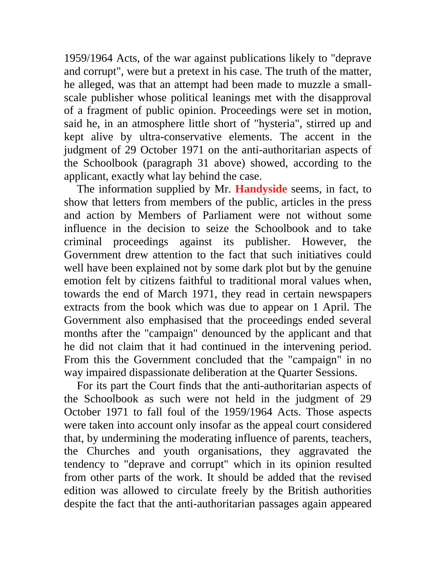1959/1964 Acts, of the war against publications likely to "deprave and corrupt", were but a pretext in his case. The truth of the matter, he alleged, was that an attempt had been made to muzzle a smallscale publisher whose political leanings met with the disapproval of a fragment of public opinion. Proceedings were set in motion, said he, in an atmosphere little short of "hysteria", stirred up and kept alive by ultra-conservative elements. The accent in the judgment of 29 October 1971 on the anti-authoritarian aspects of the Schoolbook (paragraph 31 above) showed, according to the applicant, exactly what lay behind the case.

The information supplied by Mr. **Handyside** seems, in fact, to show that letters from members of the public, articles in the press and action by Members of Parliament were not without some influence in the decision to seize the Schoolbook and to take criminal proceedings against its publisher. However, the Government drew attention to the fact that such initiatives could well have been explained not by some dark plot but by the genuine emotion felt by citizens faithful to traditional moral values when, towards the end of March 1971, they read in certain newspapers extracts from the book which was due to appear on 1 April. The Government also emphasised that the proceedings ended several months after the "campaign" denounced by the applicant and that he did not claim that it had continued in the intervening period. From this the Government concluded that the "campaign" in no way impaired dispassionate deliberation at the Quarter Sessions.

For its part the Court finds that the anti-authoritarian aspects of the Schoolbook as such were not held in the judgment of 29 October 1971 to fall foul of the 1959/1964 Acts. Those aspects were taken into account only insofar as the appeal court considered that, by undermining the moderating influence of parents, teachers, the Churches and youth organisations, they aggravated the tendency to "deprave and corrupt" which in its opinion resulted from other parts of the work. It should be added that the revised edition was allowed to circulate freely by the British authorities despite the fact that the anti-authoritarian passages again appeared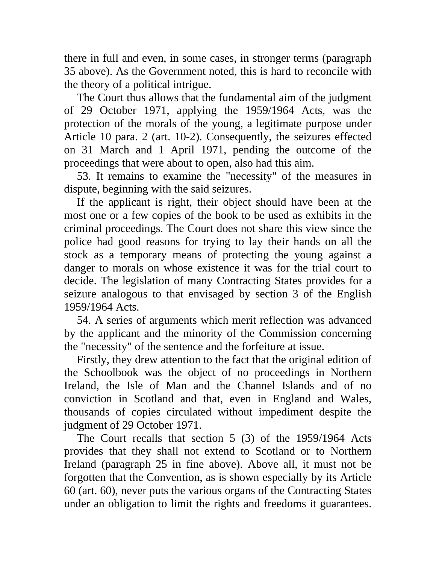there in full and even, in some cases, in stronger terms (paragraph 35 above). As the Government noted, this is hard to reconcile with the theory of a political intrigue.

The Court thus allows that the fundamental aim of the judgment of 29 October 1971, applying the 1959/1964 Acts, was the protection of the morals of the young, a legitimate purpose under Article 10 para. 2 (art. 10-2). Consequently, the seizures effected on 31 March and 1 April 1971, pending the outcome of the proceedings that were about to open, also had this aim.

53. It remains to examine the "necessity" of the measures in dispute, beginning with the said seizures.

If the applicant is right, their object should have been at the most one or a few copies of the book to be used as exhibits in the criminal proceedings. The Court does not share this view since the police had good reasons for trying to lay their hands on all the stock as a temporary means of protecting the young against a danger to morals on whose existence it was for the trial court to decide. The legislation of many Contracting States provides for a seizure analogous to that envisaged by section 3 of the English 1959/1964 Acts.

54. A series of arguments which merit reflection was advanced by the applicant and the minority of the Commission concerning the "necessity" of the sentence and the forfeiture at issue.

Firstly, they drew attention to the fact that the original edition of the Schoolbook was the object of no proceedings in Northern Ireland, the Isle of Man and the Channel Islands and of no conviction in Scotland and that, even in England and Wales, thousands of copies circulated without impediment despite the judgment of 29 October 1971.

The Court recalls that section 5 (3) of the 1959/1964 Acts provides that they shall not extend to Scotland or to Northern Ireland (paragraph 25 in fine above). Above all, it must not be forgotten that the Convention, as is shown especially by its Article 60 (art. 60), never puts the various organs of the Contracting States under an obligation to limit the rights and freedoms it guarantees.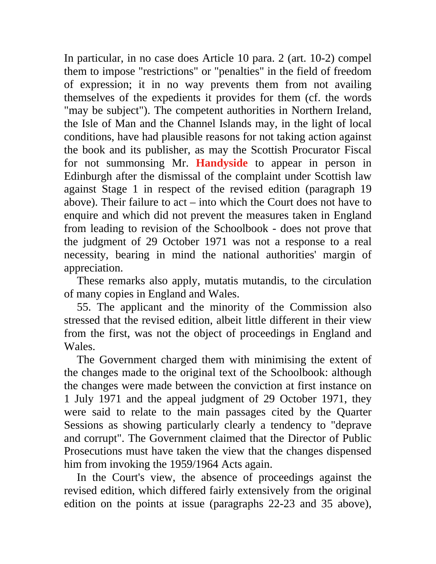In particular, in no case does Article 10 para. 2 (art. 10-2) compel them to impose "restrictions" or "penalties" in the field of freedom of expression; it in no way prevents them from not availing themselves of the expedients it provides for them (cf. the words "may be subject"). The competent authorities in Northern Ireland, the Isle of Man and the Channel Islands may, in the light of local conditions, have had plausible reasons for not taking action against the book and its publisher, as may the Scottish Procurator Fiscal for not summonsing Mr. **Handyside** to appear in person in Edinburgh after the dismissal of the complaint under Scottish law against Stage 1 in respect of the revised edition (paragraph 19 above). Their failure to act – into which the Court does not have to enquire and which did not prevent the measures taken in England from leading to revision of the Schoolbook - does not prove that the judgment of 29 October 1971 was not a response to a real necessity, bearing in mind the national authorities' margin of appreciation.

These remarks also apply, mutatis mutandis, to the circulation of many copies in England and Wales.

55. The applicant and the minority of the Commission also stressed that the revised edition, albeit little different in their view from the first, was not the object of proceedings in England and Wales.

The Government charged them with minimising the extent of the changes made to the original text of the Schoolbook: although the changes were made between the conviction at first instance on 1 July 1971 and the appeal judgment of 29 October 1971, they were said to relate to the main passages cited by the Quarter Sessions as showing particularly clearly a tendency to "deprave and corrupt". The Government claimed that the Director of Public Prosecutions must have taken the view that the changes dispensed him from invoking the 1959/1964 Acts again.

In the Court's view, the absence of proceedings against the revised edition, which differed fairly extensively from the original edition on the points at issue (paragraphs 22-23 and 35 above),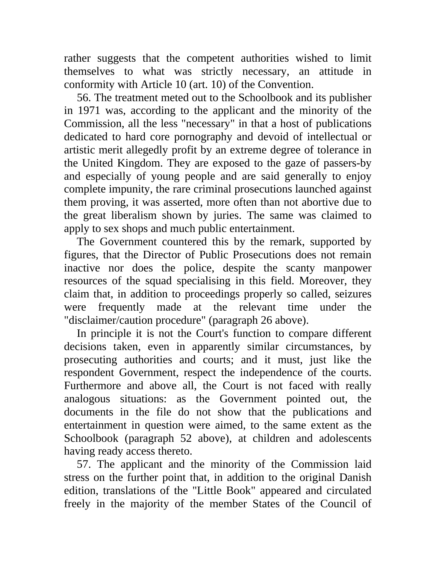rather suggests that the competent authorities wished to limit themselves to what was strictly necessary, an attitude in conformity with Article 10 (art. 10) of the Convention.

56. The treatment meted out to the Schoolbook and its publisher in 1971 was, according to the applicant and the minority of the Commission, all the less "necessary" in that a host of publications dedicated to hard core pornography and devoid of intellectual or artistic merit allegedly profit by an extreme degree of tolerance in the United Kingdom. They are exposed to the gaze of passers-by and especially of young people and are said generally to enjoy complete impunity, the rare criminal prosecutions launched against them proving, it was asserted, more often than not abortive due to the great liberalism shown by juries. The same was claimed to apply to sex shops and much public entertainment.

The Government countered this by the remark, supported by figures, that the Director of Public Prosecutions does not remain inactive nor does the police, despite the scanty manpower resources of the squad specialising in this field. Moreover, they claim that, in addition to proceedings properly so called, seizures were frequently made at the relevant time under the "disclaimer/caution procedure" (paragraph 26 above).

In principle it is not the Court's function to compare different decisions taken, even in apparently similar circumstances, by prosecuting authorities and courts; and it must, just like the respondent Government, respect the independence of the courts. Furthermore and above all, the Court is not faced with really analogous situations: as the Government pointed out, the documents in the file do not show that the publications and entertainment in question were aimed, to the same extent as the Schoolbook (paragraph 52 above), at children and adolescents having ready access thereto.

57. The applicant and the minority of the Commission laid stress on the further point that, in addition to the original Danish edition, translations of the "Little Book" appeared and circulated freely in the majority of the member States of the Council of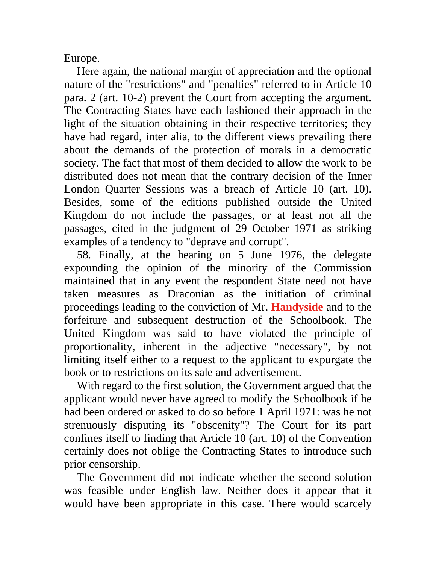Europe.

Here again, the national margin of appreciation and the optional nature of the "restrictions" and "penalties" referred to in Article 10 para. 2 (art. 10-2) prevent the Court from accepting the argument. The Contracting States have each fashioned their approach in the light of the situation obtaining in their respective territories; they have had regard, inter alia, to the different views prevailing there about the demands of the protection of morals in a democratic society. The fact that most of them decided to allow the work to be distributed does not mean that the contrary decision of the Inner London Quarter Sessions was a breach of Article 10 (art. 10). Besides, some of the editions published outside the United Kingdom do not include the passages, or at least not all the passages, cited in the judgment of 29 October 1971 as striking examples of a tendency to "deprave and corrupt".

58. Finally, at the hearing on 5 June 1976, the delegate expounding the opinion of the minority of the Commission maintained that in any event the respondent State need not have taken measures as Draconian as the initiation of criminal proceedings leading to the conviction of Mr. **Handyside** and to the forfeiture and subsequent destruction of the Schoolbook. The United Kingdom was said to have violated the principle of proportionality, inherent in the adjective "necessary", by not limiting itself either to a request to the applicant to expurgate the book or to restrictions on its sale and advertisement.

With regard to the first solution, the Government argued that the applicant would never have agreed to modify the Schoolbook if he had been ordered or asked to do so before 1 April 1971: was he not strenuously disputing its "obscenity"? The Court for its part confines itself to finding that Article 10 (art. 10) of the Convention certainly does not oblige the Contracting States to introduce such prior censorship.

The Government did not indicate whether the second solution was feasible under English law. Neither does it appear that it would have been appropriate in this case. There would scarcely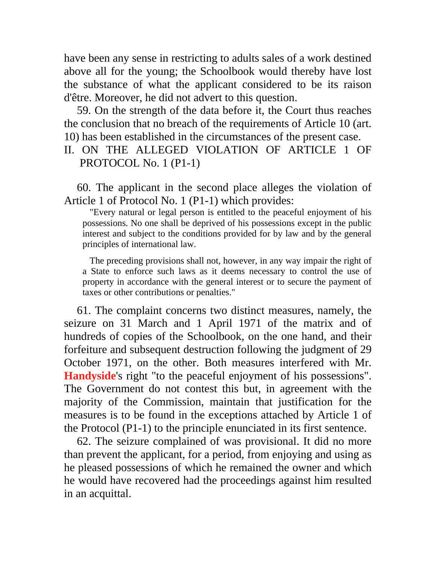have been any sense in restricting to adults sales of a work destined above all for the young; the Schoolbook would thereby have lost the substance of what the applicant considered to be its raison d'être. Moreover, he did not advert to this question.

59. On the strength of the data before it, the Court thus reaches the conclusion that no breach of the requirements of Article 10 (art. 10) has been established in the circumstances of the present case.

## II. ON THE ALLEGED VIOLATION OF ARTICLE 1 OF PROTOCOL No. 1 (P1-1)

60. The applicant in the second place alleges the violation of Article 1 of Protocol No. 1 (P1-1) which provides:

"Every natural or legal person is entitled to the peaceful enjoyment of his possessions. No one shall be deprived of his possessions except in the public interest and subject to the conditions provided for by law and by the general principles of international law.

The preceding provisions shall not, however, in any way impair the right of a State to enforce such laws as it deems necessary to control the use of property in accordance with the general interest or to secure the payment of taxes or other contributions or penalties."

61. The complaint concerns two distinct measures, namely, the seizure on 31 March and 1 April 1971 of the matrix and of hundreds of copies of the Schoolbook, on the one hand, and their forfeiture and subsequent destruction following the judgment of 29 October 1971, on the other. Both measures interfered with Mr. **Handyside**'s right "to the peaceful enjoyment of his possessions". The Government do not contest this but, in agreement with the majority of the Commission, maintain that justification for the measures is to be found in the exceptions attached by Article 1 of the Protocol (P1-1) to the principle enunciated in its first sentence.

62. The seizure complained of was provisional. It did no more than prevent the applicant, for a period, from enjoying and using as he pleased possessions of which he remained the owner and which he would have recovered had the proceedings against him resulted in an acquittal.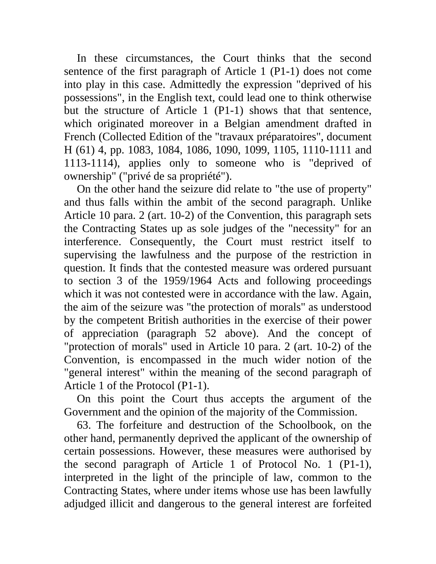In these circumstances, the Court thinks that the second sentence of the first paragraph of Article 1 (P1-1) does not come into play in this case. Admittedly the expression "deprived of his possessions", in the English text, could lead one to think otherwise but the structure of Article 1 (P1-1) shows that that sentence, which originated moreover in a Belgian amendment drafted in French (Collected Edition of the "travaux préparatoires", document H (61) 4, pp. 1083, 1084, 1086, 1090, 1099, 1105, 1110-1111 and 1113-1114), applies only to someone who is "deprived of ownership" ("privé de sa propriété").

On the other hand the seizure did relate to "the use of property" and thus falls within the ambit of the second paragraph. Unlike Article 10 para. 2 (art. 10-2) of the Convention, this paragraph sets the Contracting States up as sole judges of the "necessity" for an interference. Consequently, the Court must restrict itself to supervising the lawfulness and the purpose of the restriction in question. It finds that the contested measure was ordered pursuant to section 3 of the 1959/1964 Acts and following proceedings which it was not contested were in accordance with the law. Again, the aim of the seizure was "the protection of morals" as understood by the competent British authorities in the exercise of their power of appreciation (paragraph 52 above). And the concept of "protection of morals" used in Article 10 para. 2 (art. 10-2) of the Convention, is encompassed in the much wider notion of the "general interest" within the meaning of the second paragraph of Article 1 of the Protocol (P1-1).

On this point the Court thus accepts the argument of the Government and the opinion of the majority of the Commission.

63. The forfeiture and destruction of the Schoolbook, on the other hand, permanently deprived the applicant of the ownership of certain possessions. However, these measures were authorised by the second paragraph of Article 1 of Protocol No. 1 (P1-1), interpreted in the light of the principle of law, common to the Contracting States, where under items whose use has been lawfully adjudged illicit and dangerous to the general interest are forfeited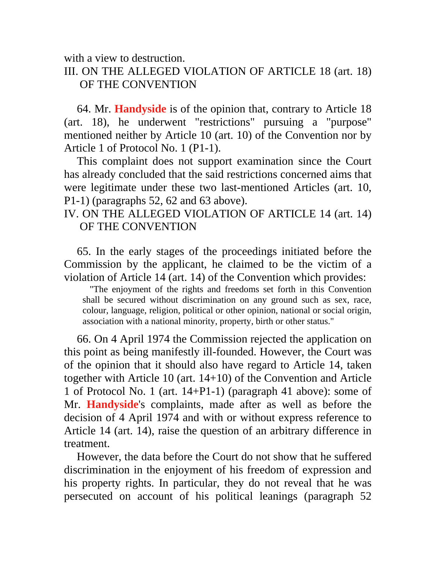with a view to destruction.

## III. ON THE ALLEGED VIOLATION OF ARTICLE 18 (art. 18) OF THE CONVENTION

64. Mr. **Handyside** is of the opinion that, contrary to Article 18 (art. 18), he underwent "restrictions" pursuing a "purpose" mentioned neither by Article 10 (art. 10) of the Convention nor by Article 1 of Protocol No. 1 (P1-1).

This complaint does not support examination since the Court has already concluded that the said restrictions concerned aims that were legitimate under these two last-mentioned Articles (art. 10, P1-1) (paragraphs 52, 62 and 63 above).

## IV. ON THE ALLEGED VIOLATION OF ARTICLE 14 (art. 14) OF THE CONVENTION

65. In the early stages of the proceedings initiated before the Commission by the applicant, he claimed to be the victim of a violation of Article 14 (art. 14) of the Convention which provides:

"The enjoyment of the rights and freedoms set forth in this Convention shall be secured without discrimination on any ground such as sex, race, colour, language, religion, political or other opinion, national or social origin, association with a national minority, property, birth or other status."

66. On 4 April 1974 the Commission rejected the application on this point as being manifestly ill-founded. However, the Court was of the opinion that it should also have regard to Article 14, taken together with Article 10 (art. 14+10) of the Convention and Article 1 of Protocol No. 1 (art. 14+P1-1) (paragraph 41 above): some of Mr. **Handyside**'s complaints, made after as well as before the decision of 4 April 1974 and with or without express reference to Article 14 (art. 14), raise the question of an arbitrary difference in treatment.

However, the data before the Court do not show that he suffered discrimination in the enjoyment of his freedom of expression and his property rights. In particular, they do not reveal that he was persecuted on account of his political leanings (paragraph 52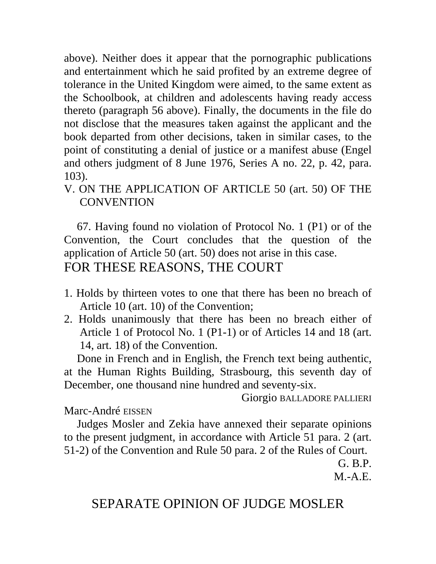above). Neither does it appear that the pornographic publications and entertainment which he said profited by an extreme degree of tolerance in the United Kingdom were aimed, to the same extent as the Schoolbook, at children and adolescents having ready access thereto (paragraph 56 above). Finally, the documents in the file do not disclose that the measures taken against the applicant and the book departed from other decisions, taken in similar cases, to the point of constituting a denial of justice or a manifest abuse (Engel and others judgment of 8 June 1976, Series A no. 22, p. 42, para. 103).

V. ON THE APPLICATION OF ARTICLE 50 (art. 50) OF THE **CONVENTION** 

67. Having found no violation of Protocol No. 1 (P1) or of the Convention, the Court concludes that the question of the application of Article 50 (art. 50) does not arise in this case. FOR THESE REASONS, THE COURT

- 1. Holds by thirteen votes to one that there has been no breach of Article 10 (art. 10) of the Convention;
- 2. Holds unanimously that there has been no breach either of Article 1 of Protocol No. 1 (P1-1) or of Articles 14 and 18 (art. 14, art. 18) of the Convention.

Done in French and in English, the French text being authentic, at the Human Rights Building, Strasbourg, this seventh day of December, one thousand nine hundred and seventy-six.

Giorgio BALLADORE PALLIERI

Marc-André EISSEN

Judges Mosler and Zekia have annexed their separate opinions to the present judgment, in accordance with Article 51 para. 2 (art. 51-2) of the Convention and Rule 50 para. 2 of the Rules of Court.

G. B.P. M.-A.E.

# SEPARATE OPINION OF JUDGE MOSLER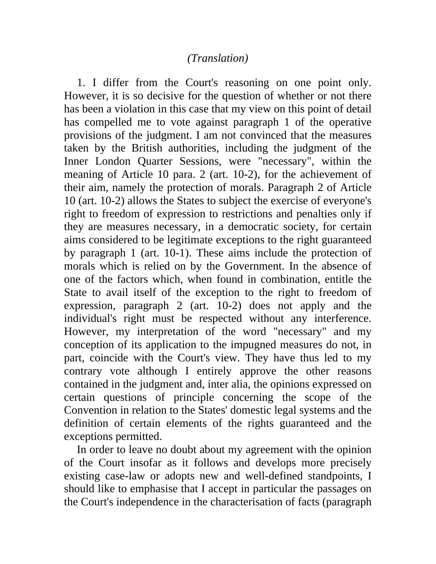### *(Translation)*

1. I differ from the Court's reasoning on one point only. However, it is so decisive for the question of whether or not there has been a violation in this case that my view on this point of detail has compelled me to vote against paragraph 1 of the operative provisions of the judgment. I am not convinced that the measures taken by the British authorities, including the judgment of the Inner London Quarter Sessions, were "necessary", within the meaning of Article 10 para. 2 (art. 10-2), for the achievement of their aim, namely the protection of morals. Paragraph 2 of Article 10 (art. 10-2) allows the States to subject the exercise of everyone's right to freedom of expression to restrictions and penalties only if they are measures necessary, in a democratic society, for certain aims considered to be legitimate exceptions to the right guaranteed by paragraph 1 (art. 10-1). These aims include the protection of morals which is relied on by the Government. In the absence of one of the factors which, when found in combination, entitle the State to avail itself of the exception to the right to freedom of expression, paragraph 2 (art. 10-2) does not apply and the individual's right must be respected without any interference. However, my interpretation of the word "necessary" and my conception of its application to the impugned measures do not, in part, coincide with the Court's view. They have thus led to my contrary vote although I entirely approve the other reasons contained in the judgment and, inter alia, the opinions expressed on certain questions of principle concerning the scope of the Convention in relation to the States' domestic legal systems and the definition of certain elements of the rights guaranteed and the exceptions permitted.

In order to leave no doubt about my agreement with the opinion of the Court insofar as it follows and develops more precisely existing case-law or adopts new and well-defined standpoints, I should like to emphasise that I accept in particular the passages on the Court's independence in the characterisation of facts (paragraph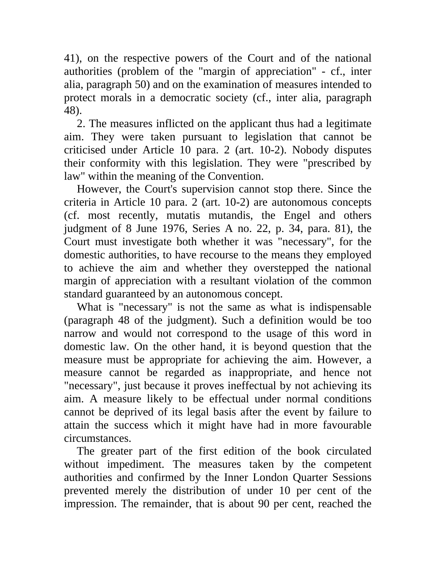41), on the respective powers of the Court and of the national authorities (problem of the "margin of appreciation" - cf., inter alia, paragraph 50) and on the examination of measures intended to protect morals in a democratic society (cf., inter alia, paragraph 48).

2. The measures inflicted on the applicant thus had a legitimate aim. They were taken pursuant to legislation that cannot be criticised under Article 10 para. 2 (art. 10-2). Nobody disputes their conformity with this legislation. They were "prescribed by law" within the meaning of the Convention.

However, the Court's supervision cannot stop there. Since the criteria in Article 10 para. 2 (art. 10-2) are autonomous concepts (cf. most recently, mutatis mutandis, the Engel and others judgment of 8 June 1976, Series A no. 22, p. 34, para. 81), the Court must investigate both whether it was "necessary", for the domestic authorities, to have recourse to the means they employed to achieve the aim and whether they overstepped the national margin of appreciation with a resultant violation of the common standard guaranteed by an autonomous concept.

What is "necessary" is not the same as what is indispensable (paragraph 48 of the judgment). Such a definition would be too narrow and would not correspond to the usage of this word in domestic law. On the other hand, it is beyond question that the measure must be appropriate for achieving the aim. However, a measure cannot be regarded as inappropriate, and hence not "necessary", just because it proves ineffectual by not achieving its aim. A measure likely to be effectual under normal conditions cannot be deprived of its legal basis after the event by failure to attain the success which it might have had in more favourable circumstances.

The greater part of the first edition of the book circulated without impediment. The measures taken by the competent authorities and confirmed by the Inner London Quarter Sessions prevented merely the distribution of under 10 per cent of the impression. The remainder, that is about 90 per cent, reached the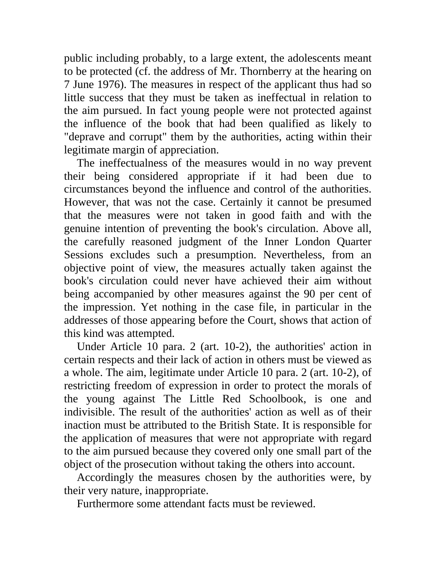public including probably, to a large extent, the adolescents meant to be protected (cf. the address of Mr. Thornberry at the hearing on 7 June 1976). The measures in respect of the applicant thus had so little success that they must be taken as ineffectual in relation to the aim pursued. In fact young people were not protected against the influence of the book that had been qualified as likely to "deprave and corrupt" them by the authorities, acting within their legitimate margin of appreciation.

The ineffectualness of the measures would in no way prevent their being considered appropriate if it had been due to circumstances beyond the influence and control of the authorities. However, that was not the case. Certainly it cannot be presumed that the measures were not taken in good faith and with the genuine intention of preventing the book's circulation. Above all, the carefully reasoned judgment of the Inner London Quarter Sessions excludes such a presumption. Nevertheless, from an objective point of view, the measures actually taken against the book's circulation could never have achieved their aim without being accompanied by other measures against the 90 per cent of the impression. Yet nothing in the case file, in particular in the addresses of those appearing before the Court, shows that action of this kind was attempted.

Under Article 10 para. 2 (art. 10-2), the authorities' action in certain respects and their lack of action in others must be viewed as a whole. The aim, legitimate under Article 10 para. 2 (art. 10-2), of restricting freedom of expression in order to protect the morals of the young against The Little Red Schoolbook, is one and indivisible. The result of the authorities' action as well as of their inaction must be attributed to the British State. It is responsible for the application of measures that were not appropriate with regard to the aim pursued because they covered only one small part of the object of the prosecution without taking the others into account.

Accordingly the measures chosen by the authorities were, by their very nature, inappropriate.

Furthermore some attendant facts must be reviewed.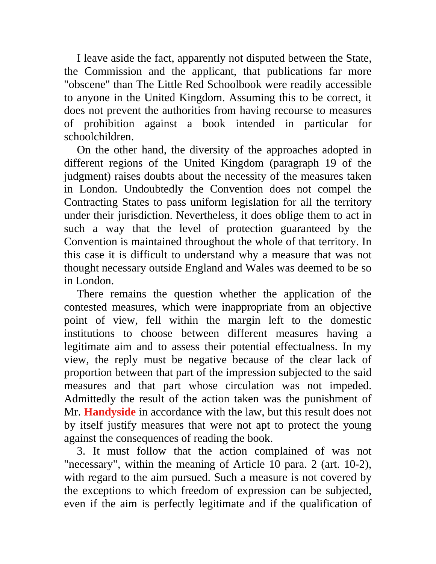I leave aside the fact, apparently not disputed between the State, the Commission and the applicant, that publications far more "obscene" than The Little Red Schoolbook were readily accessible to anyone in the United Kingdom. Assuming this to be correct, it does not prevent the authorities from having recourse to measures of prohibition against a book intended in particular for schoolchildren.

On the other hand, the diversity of the approaches adopted in different regions of the United Kingdom (paragraph 19 of the judgment) raises doubts about the necessity of the measures taken in London. Undoubtedly the Convention does not compel the Contracting States to pass uniform legislation for all the territory under their jurisdiction. Nevertheless, it does oblige them to act in such a way that the level of protection guaranteed by the Convention is maintained throughout the whole of that territory. In this case it is difficult to understand why a measure that was not thought necessary outside England and Wales was deemed to be so in London.

There remains the question whether the application of the contested measures, which were inappropriate from an objective point of view, fell within the margin left to the domestic institutions to choose between different measures having a legitimate aim and to assess their potential effectualness. In my view, the reply must be negative because of the clear lack of proportion between that part of the impression subjected to the said measures and that part whose circulation was not impeded. Admittedly the result of the action taken was the punishment of Mr. **Handyside** in accordance with the law, but this result does not by itself justify measures that were not apt to protect the young against the consequences of reading the book.

3. It must follow that the action complained of was not "necessary", within the meaning of Article 10 para. 2 (art. 10-2), with regard to the aim pursued. Such a measure is not covered by the exceptions to which freedom of expression can be subjected, even if the aim is perfectly legitimate and if the qualification of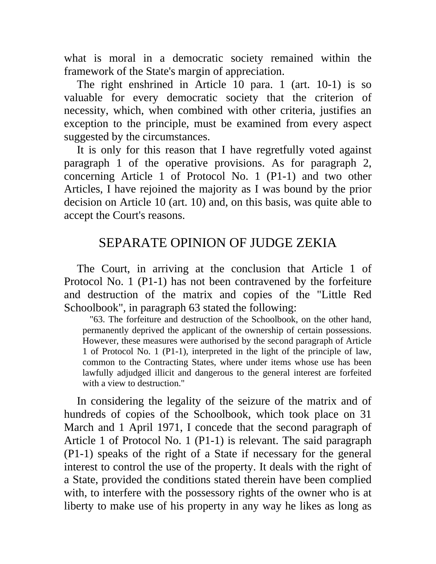what is moral in a democratic society remained within the framework of the State's margin of appreciation.

The right enshrined in Article 10 para. 1 (art. 10-1) is so valuable for every democratic society that the criterion of necessity, which, when combined with other criteria, justifies an exception to the principle, must be examined from every aspect suggested by the circumstances.

It is only for this reason that I have regretfully voted against paragraph 1 of the operative provisions. As for paragraph 2, concerning Article 1 of Protocol No. 1 (P1-1) and two other Articles, I have rejoined the majority as I was bound by the prior decision on Article 10 (art. 10) and, on this basis, was quite able to accept the Court's reasons.

# SEPARATE OPINION OF JUDGE ZEKIA

The Court, in arriving at the conclusion that Article 1 of Protocol No. 1 (P1-1) has not been contravened by the forfeiture and destruction of the matrix and copies of the "Little Red Schoolbook", in paragraph 63 stated the following:

"63. The forfeiture and destruction of the Schoolbook, on the other hand, permanently deprived the applicant of the ownership of certain possessions. However, these measures were authorised by the second paragraph of Article 1 of Protocol No. 1 (P1-1), interpreted in the light of the principle of law, common to the Contracting States, where under items whose use has been lawfully adjudged illicit and dangerous to the general interest are forfeited with a view to destruction."

In considering the legality of the seizure of the matrix and of hundreds of copies of the Schoolbook, which took place on 31 March and 1 April 1971, I concede that the second paragraph of Article 1 of Protocol No. 1 (P1-1) is relevant. The said paragraph (P1-1) speaks of the right of a State if necessary for the general interest to control the use of the property. It deals with the right of a State, provided the conditions stated therein have been complied with, to interfere with the possessory rights of the owner who is at liberty to make use of his property in any way he likes as long as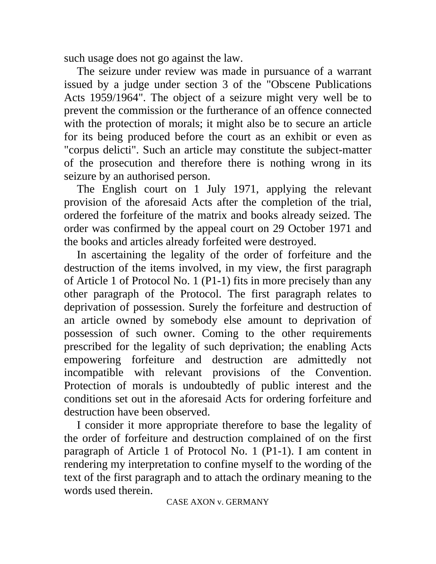such usage does not go against the law.

The seizure under review was made in pursuance of a warrant issued by a judge under section 3 of the "Obscene Publications Acts 1959/1964". The object of a seizure might very well be to prevent the commission or the furtherance of an offence connected with the protection of morals; it might also be to secure an article for its being produced before the court as an exhibit or even as "corpus delicti". Such an article may constitute the subject-matter of the prosecution and therefore there is nothing wrong in its seizure by an authorised person.

The English court on 1 July 1971, applying the relevant provision of the aforesaid Acts after the completion of the trial, ordered the forfeiture of the matrix and books already seized. The order was confirmed by the appeal court on 29 October 1971 and the books and articles already forfeited were destroyed.

In ascertaining the legality of the order of forfeiture and the destruction of the items involved, in my view, the first paragraph of Article 1 of Protocol No. 1 (P1-1) fits in more precisely than any other paragraph of the Protocol. The first paragraph relates to deprivation of possession. Surely the forfeiture and destruction of an article owned by somebody else amount to deprivation of possession of such owner. Coming to the other requirements prescribed for the legality of such deprivation; the enabling Acts empowering forfeiture and destruction are admittedly not incompatible with relevant provisions of the Convention. Protection of morals is undoubtedly of public interest and the conditions set out in the aforesaid Acts for ordering forfeiture and destruction have been observed.

I consider it more appropriate therefore to base the legality of the order of forfeiture and destruction complained of on the first paragraph of Article 1 of Protocol No. 1 (P1-1). I am content in rendering my interpretation to confine myself to the wording of the text of the first paragraph and to attach the ordinary meaning to the words used therein.